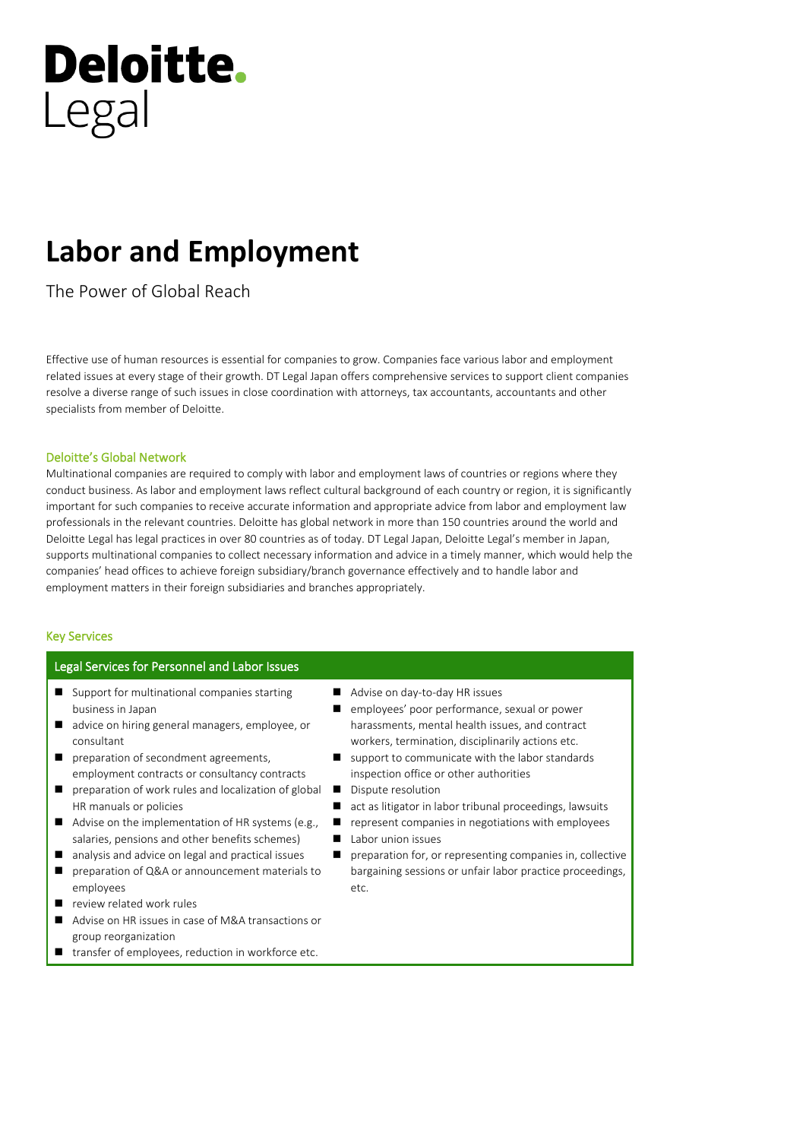# **Deloitte.** Legal

# **Labor and Employment**

The Power of Global Reach

Effective use of human resources is essential for companies to grow. Companies face various labor and employment related issues at every stage of their growth. DT Legal Japan offers comprehensive services to support client companies resolve a diverse range of such issues in close coordination with attorneys, tax accountants, accountants and other specialists from member of Deloitte.

### Deloitte's Global Network

Multinational companies are required to comply with labor and employment laws of countries or regions where they conduct business. As labor and employment laws reflect cultural background of each country or region, it is significantly important for such companies to receive accurate information and appropriate advice from labor and employment law professionals in the relevant countries. Deloitte has global network in more than 150 countries around the world and Deloitte Legal has legal practices in over 80 countries as of today. DT Legal Japan, Deloitte Legal's member in Japan, supports multinational companies to collect necessary information and advice in a timely manner, which would help the companies' head offices to achieve foreign subsidiary/branch governance effectively and to handle labor and employment matters in their foreign subsidiaries and branches appropriately.

# Key Services

## Legal Services for Personnel and Labor Issues

- Support for multinational companies starting business in Japan
- advice on hiring general managers, employee, or consultant
- preparation of secondment agreements, employment contracts or consultancy contracts
- preparation of work rules and localization of global HR manuals or policies
- Advise on the implementation of HR systems (e.g., salaries, pensions and other benefits schemes)
- analysis and advice on legal and practical issues
- preparation of Q&A or announcement materials to employees
- review related work rules
- Advise on HR issues in case of M&A transactions or group reorganization
- transfer of employees, reduction in workforce etc.
- Advise on day-to-day HR issues
- employees' poor performance, sexual or power harassments, mental health issues, and contract workers, termination, disciplinarily actions etc.
- support to communicate with the labor standards inspection office or other authorities
- Dispute resolution
- act as litigator in labor tribunal proceedings, lawsuits
- represent companies in negotiations with employees
- Labor union issues
- preparation for, or representing companies in, collective bargaining sessions or unfair labor practice proceedings, etc.